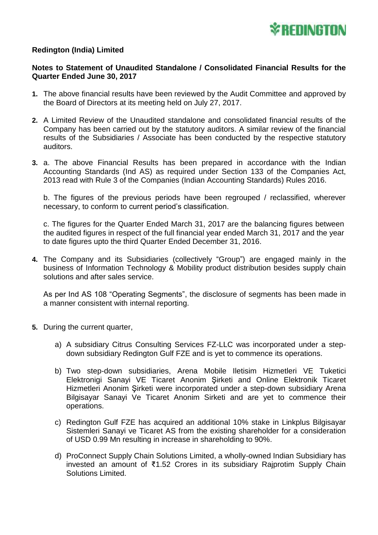

## **Redington (India) Limited**

## **Notes to Statement of Unaudited Standalone / Consolidated Financial Results for the Quarter Ended June 30, 2017**

- **1.** The above financial results have been reviewed by the Audit Committee and approved by the Board of Directors at its meeting held on July 27, 2017.
- **2.** A Limited Review of the Unaudited standalone and consolidated financial results of the Company has been carried out by the statutory auditors. A similar review of the financial results of the Subsidiaries / Associate has been conducted by the respective statutory auditors.
- **3.** a. The above Financial Results has been prepared in accordance with the Indian Accounting Standards (Ind AS) as required under Section 133 of the Companies Act, 2013 read with Rule 3 of the Companies (Indian Accounting Standards) Rules 2016.

b. The figures of the previous periods have been regrouped / reclassified, wherever necessary, to conform to current period's classification.

c. The figures for the Quarter Ended March 31, 2017 are the balancing figures between the audited figures in respect of the full financial year ended March 31, 2017 and the year to date figures upto the third Quarter Ended December 31, 2016.

**4.** The Company and its Subsidiaries (collectively "Group") are engaged mainly in the business of Information Technology & Mobility product distribution besides supply chain solutions and after sales service.

As per Ind AS 108 "Operating Segments", the disclosure of segments has been made in a manner consistent with internal reporting.

- **5.** During the current quarter,
	- a) A subsidiary Citrus Consulting Services FZ-LLC was incorporated under a stepdown subsidiary Redington Gulf FZE and is yet to commence its operations.
	- b) Two step-down subsidiaries, Arena Mobile Iletisim Hizmetleri VE Tuketici Elektronigi Sanayi VE Ticaret Anonim Şirketi and Online Elektronik Ticaret Hizmetleri Anonim Şirketi were incorporated under a step-down subsidiary Arena Bilgisayar Sanayi Ve Ticaret Anonim Sirketi and are yet to commence their operations.
	- c) Redington Gulf FZE has acquired an additional 10% stake in Linkplus Bilgisayar Sistemleri Sanayi ve Ticaret AS from the existing shareholder for a consideration of USD 0.99 Mn resulting in increase in shareholding to 90%.
	- d) ProConnect Supply Chain Solutions Limited, a wholly-owned Indian Subsidiary has invested an amount of ₹1.52 Crores in its subsidiary Rajprotim Supply Chain Solutions Limited.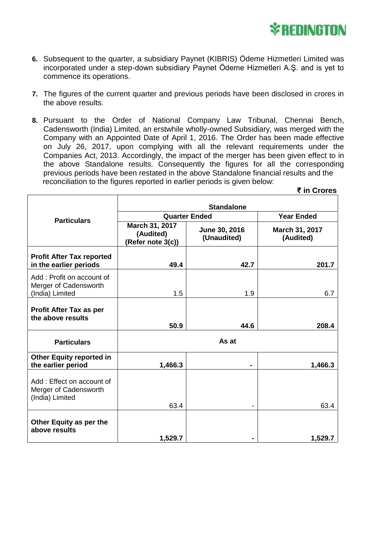

 **₹ in Crores**

- **6.** Subsequent to the quarter, a subsidiary Paynet (KIBRIS) Ödeme Hizmetleri Limited was incorporated under a step-down subsidiary Paynet Ödeme Hizmetleri A.Ş. and is yet to commence its operations.
- **7.** The figures of the current quarter and previous periods have been disclosed in crores in the above results.
- **8.** Pursuant to the Order of National Company Law Tribunal, Chennai Bench, Cadensworth (India) Limited, an erstwhile wholly-owned Subsidiary, was merged with the Company with an Appointed Date of April 1, 2016. The Order has been made effective on July 26, 2017, upon complying with all the relevant requirements under the Companies Act, 2013. Accordingly, the impact of the merger has been given effect to in the above Standalone results. Consequently the figures for all the corresponding previous periods have been restated in the above Standalone financial results and the reconciliation to the figures reported in earlier periods is given below:

|                                                                       | <b>Standalone</b>                                |                              |                             |
|-----------------------------------------------------------------------|--------------------------------------------------|------------------------------|-----------------------------|
| <b>Particulars</b>                                                    | <b>Quarter Ended</b>                             |                              | <b>Year Ended</b>           |
|                                                                       | March 31, 2017<br>(Audited)<br>(Refer note 3(c)) | June 30, 2016<br>(Unaudited) | March 31, 2017<br>(Audited) |
| <b>Profit After Tax reported</b><br>in the earlier periods            | 49.4                                             | 42.7                         | 201.7                       |
| Add: Profit on account of<br>Merger of Cadensworth<br>(India) Limited | 1.5                                              | 1.9                          | 6.7                         |
| Profit After Tax as per<br>the above results                          | 50.9                                             | 44.6                         | 208.4                       |
| <b>Particulars</b>                                                    | As at                                            |                              |                             |
| <b>Other Equity reported in</b><br>the earlier period                 | 1,466.3                                          | ۰                            | 1,466.3                     |
| Add: Effect on account of<br>Merger of Cadensworth<br>(India) Limited | 63.4                                             |                              | 63.4                        |
| Other Equity as per the<br>above results                              | 1,529.7                                          |                              | 1,529.7                     |